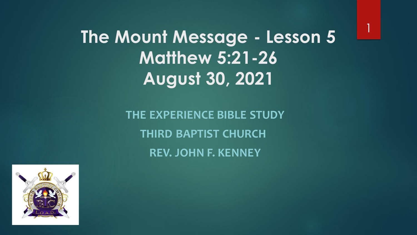1

**The Mount Message - Lesson 5 Matthew 5:21-26 August 30, 2021**

> **THE EXPERIENCE BIBLE STUDY THIRD BAPTIST CHURCH REV. JOHN F. KENNEY**

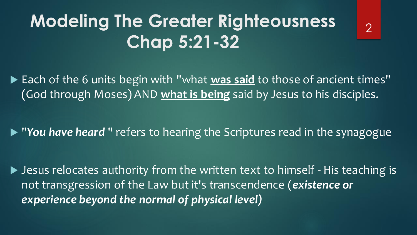## **Modeling The Greater Righteousness Chap 5:21-32**

▶ Each of the 6 units begin with "what was said to those of ancient times" (God through Moses) AND **what is being** said by Jesus to his disciples.

▶ "You have heard" refers to hearing the Scriptures read in the synagogue

▶ Jesus relocates authority from the written text to himself - His teaching is not transgression of the Law but it's transcendence (*existence or experience beyond the normal of physical level)*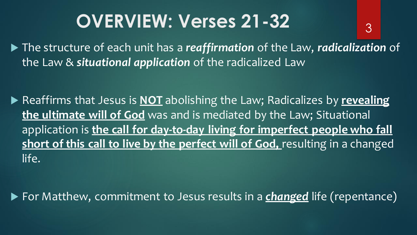## **OVERVIEW: Verses 21-32**

 The structure of each unit has a *reaffirmation* of the Law, *radicalization* of the Law & *situational application* of the radicalized Law

3

▶ Reaffirms that Jesus is **NOT** abolishing the Law; Radicalizes by **revealing the ultimate will of God** was and is mediated by the Law; Situational application is **the call for day-to-day living for imperfect people who fall short of this call to live by the perfect will of God,** resulting in a changed life.

▶ For Matthew, commitment to Jesus results in a **changed** life (repentance)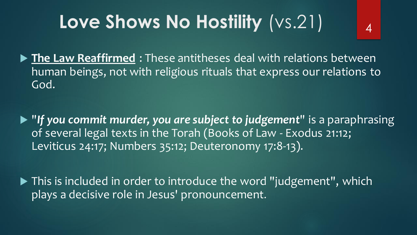# **Love Shows No Hostility** (vs.21)

 **The Law Reaffirmed** : These antitheses deal with relations between human beings, not with religious rituals that express our relations to God.

4

- "*If you commit murder, you are subject to judgement*" is a paraphrasing of several legal texts in the Torah (Books of Law - Exodus 21:12; Leviticus 24:17; Numbers 35:12; Deuteronomy 17:8-13).
- ▶ This is included in order to introduce the word "judgement", which plays a decisive role in Jesus' pronouncement.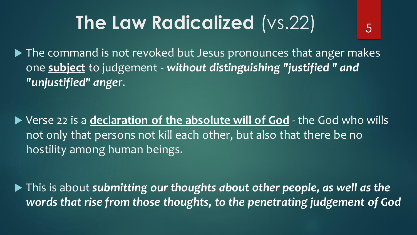# **The Law Radicalized** (vs.22)

5

▶ The command is not revoked but Jesus pronounces that anger makes one **subject** to judgement - *without distinguishing "justified " and "unjustified" ange*r.

▶ Verse 22 is a **declaration of the absolute will of God** - the God who wills not only that persons not kill each other, but also that there be no hostility among human beings.

▶ This is about **submitting our thoughts about other people, as well as the** *words that rise from those thoughts, to the penetrating judgement of God*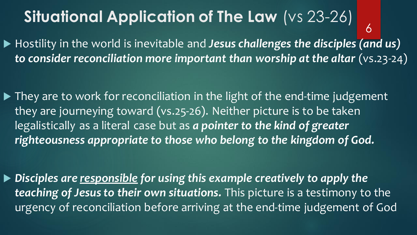#### **Situational Application of The Law** (vs 23-26) ▶ Hostility in the world is inevitable and *Jesus challenges the disciples (and us) to consider reconciliation more important than worship at the altar* (vs.23-24) 6

▶ They are to work for reconciliation in the light of the end-time judgement they are journeying toward (vs.25-26). Neither picture is to be taken legalistically as a literal case but as *a pointer to the kind of greater righteousness appropriate to those who belong to the kingdom of God.*

 *Disciples are responsible for using this example creatively to apply the teaching of Jesus to their own situations.* This picture is a testimony to the urgency of reconciliation before arriving at the end-time judgement of God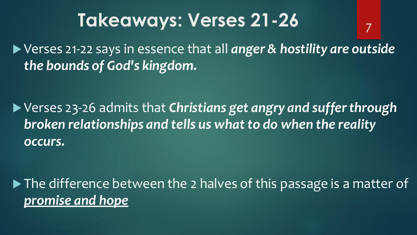#### **Takeaways: Verses 21-26**

▶ Verses 21-22 says in essence that all *anger & hostility are outside the bounds of God's kingdom.*

7

 Verses 23-26 admits that *Christians get angry and suffer through broken relationships and tells us what to do when the reality occurs.*

▶ The difference between the 2 halves of this passage is a matter of *promise and hope*